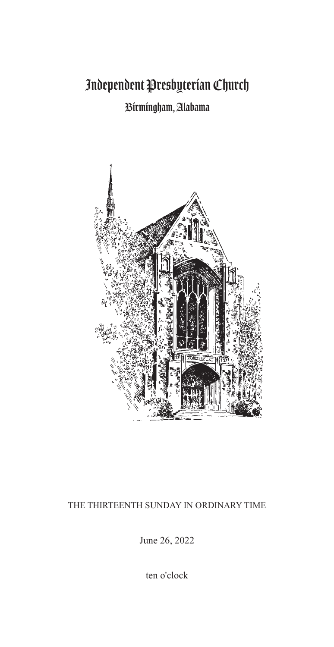# Independent Presbyterian Church

# Birmingham, Alabama



### THE THIRTEENTH SUNDAY IN ORDINARY TIME

June 26, 2022

ten o'clock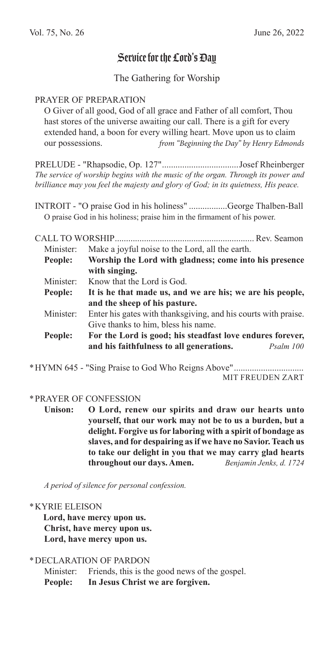## Service for the Lord's Day

#### The Gathering for Worship

#### PRAYER OF PREPARATION

O Giver of all good, God of all grace and Father of all comfort, Thou hast stores of the universe awaiting our call. There is a gift for every extended hand, a boon for every willing heart. Move upon us to claim our possessions. *from "Beginning the Day" by Henry Edmonds* 

PRELUDE - "Rhapsodie, Op. 127"..................................Josef Rheinberger *The service of worship begins with the music of the organ. Through its power and brilliance may you feel the majesty and glory of God; in its quietness, His peace.*

INTROIT - "O praise God in his holiness" .................George Thalben-Ball O praise God in his holiness; praise him in the firmament of his power.

CALL TO WORSHIP.............................................................. Rev. Seamon Minister: Make a joyful noise to the Lord, all the earth. **People: Worship the Lord with gladness; come into his presence with singing.** Minister: Know that the Lord is God. **People: It is he that made us, and we are his; we are his people, and the sheep of his pasture.** Minister: Enter his gates with thanksgiving, and his courts with praise. Give thanks to him, bless his name. **People: For the Lord is good; his steadfast love endures forever, and his faithfulness to all generations.** *Psalm 100*

\*HYMN 645 - "Sing Praise to God Who Reigns Above"............................... MIT FREUDEN ZART

#### \*PRAYER OF CONFESSION

**Unison: O Lord, renew our spirits and draw our hearts unto yourself, that our work may not be to us a burden, but a delight. Forgive us for laboring with a spirit of bondage as slaves, and for despairing as if we have no Savior. Teach us to take our delight in you that we may carry glad hearts throughout our days. Amen.** *Benjamin Jenks, d. 1724*

*A period of silence for personal confession.*

#### \*KYRIE ELEISON

**Lord, have mercy upon us. Christ, have mercy upon us. Lord, have mercy upon us.**

\*DECLARATION OF PARDON

Minister: Friends, this is the good news of the gospel. **People: In Jesus Christ we are forgiven.**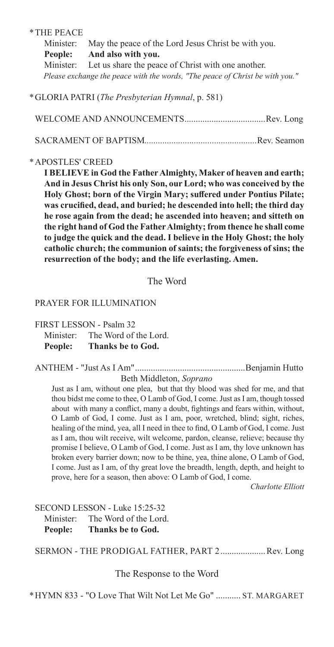#### \*THE PEACE

Minister: May the peace of the Lord Jesus Christ be with you. **People: And also with you.** Minister: Let us share the peace of Christ with one another.  *Please exchange the peace with the words, "The peace of Christ be with you."*

\*GLORIA PATRI (*The Presbyterian Hymnal*, p. 581)

WELCOME AND ANNOUNCEMENTS....................................Rev. Long SACRAMENT OF BAPTISM*..................................................*Rev. Seamon

#### \*APOSTLES' CREED

**I BELIEVE in God the Father Almighty, Maker of heaven and earth; And in Jesus Christ his only Son, our Lord; who was conceived by the Holy Ghost; born of the Virgin Mary; suffered under Pontius Pilate; was crucified, dead, and buried; he descended into hell; the third day he rose again from the dead; he ascended into heaven; and sitteth on the right hand of God the Father Almighty; from thence he shall come to judge the quick and the dead. I believe in the Holy Ghost; the holy catholic church; the communion of saints; the forgiveness of sins; the resurrection of the body; and the life everlasting. Amen.**

The Word

#### PRAYER FOR ILLUMINATION

#### FIRST LESSON - Psalm 32

Minister: The Word of the Lord. **People: Thanks be to God.**

ANTHEM - "Just As I Am".................................................Benjamin Hutto

#### Beth Middleton, *Soprano*

Just as I am, without one plea, but that thy blood was shed for me, and that thou bidst me come to thee, O Lamb of God, I come. Just as I am, though tossed about with many a conflict, many a doubt, fightings and fears within, without, O Lamb of God, I come. Just as I am, poor, wretched, blind; sight, riches, healing of the mind, yea, all I need in thee to find, O Lamb of God, I come. Just as I am, thou wilt receive, wilt welcome, pardon, cleanse, relieve; because thy promise I believe, O Lamb of God, I come. Just as I am, thy love unknown has broken every barrier down; now to be thine, yea, thine alone, O Lamb of God, I come. Just as I am, of thy great love the breadth, length, depth, and height to prove, here for a season, then above: O Lamb of God, I come.

*Charlotte Elliott*

#### SECOND LESSON - Luke 15:25-32

Minister: The Word of the Lord. **People: Thanks be to God.**

SERMON - THE PRODIGAL FATHER, PART 2....................Rev. Long

The Response to the Word

\*HYMN 833 - "O Love That Wilt Not Let Me Go" ........... ST. MARGARET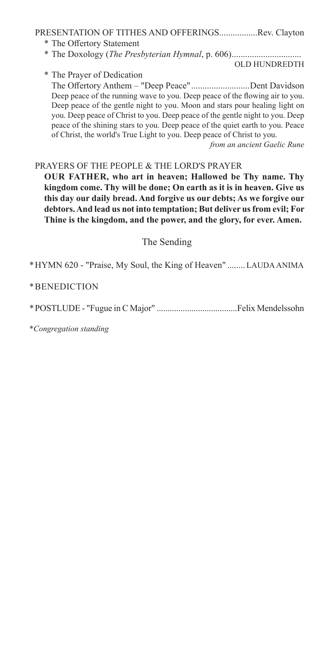#### PRESENTATION OF TITHES AND OFFERINGS.................Rev. Clayton

- \* The Offertory Statement
- \* The Doxology (*The Presbyterian Hymnal*, p. 606)...............................

OLD HUNDREDTH

\* The Prayer of Dedication

The Offertory Anthem – "Deep Peace" ..........................Dent Davidson Deep peace of the running wave to you. Deep peace of the flowing air to you. Deep peace of the gentle night to you. Moon and stars pour healing light on you. Deep peace of Christ to you. Deep peace of the gentle night to you. Deep peace of the shining stars to you. Deep peace of the quiet earth to you. Peace of Christ, the world's True Light to you. Deep peace of Christ to you.

*from an ancient Gaelic Rune*

#### PRAYERS OF THE PEOPLE & THE LORD'S PRAYER

**OUR FATHER, who art in heaven; Hallowed be Thy name. Thy kingdom come. Thy will be done; On earth as it is in heaven. Give us this day our daily bread. And forgive us our debts; As we forgive our debtors. And lead us not into temptation; But deliver us from evil; For Thine is the kingdom, and the power, and the glory, for ever. Amen.**

The Sending

\*HYMN 620 - "Praise, My Soul, the King of Heaven" ........LAUDA ANIMA

\*BENEDICTION

\*POSTLUDE - "Fugue in C Major" .....................................Felix Mendelssohn

\**Congregation standing*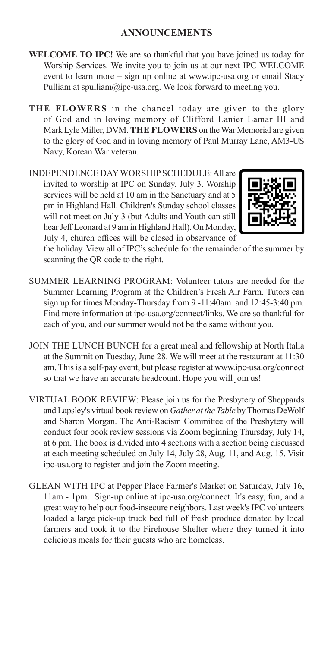- **WELCOME TO IPC!** We are so thankful that you have joined us today for Worship Services. We invite you to join us at our next IPC WELCOME event to learn more – sign up online at www.ipc-usa.org or email Stacy Pulliam at spulliam $\omega$ ipc-usa.org. We look forward to meeting you.
- **THE FLOWERS** in the chancel today are given to the glory of God and in loving memory of Clifford Lanier Lamar III and Mark Lyle Miller, DVM. **THE FLOWERS** on the War Memorial are given to the glory of God and in loving memory of Paul Murray Lane, AM3-US Navy, Korean War veteran.

INDEPENDENCE DAY WORSHIP SCHEDULE: All are invited to worship at IPC on Sunday, July 3. Worship services will be held at 10 am in the Sanctuary and at 5 pm in Highland Hall. Children's Sunday school classes will not meet on July 3 (but Adults and Youth can still hear Jeff Leonard at 9 am in Highland Hall). On Monday, July 4, church offices will be closed in observance of



the holiday. View all of IPC's schedule for the remainder of the summer by scanning the QR code to the right.

- SUMMER LEARNING PROGRAM: Volunteer tutors are needed for the Summer Learning Program at the Children's Fresh Air Farm. Tutors can sign up for times Monday-Thursday from 9 -11:40am and 12:45-3:40 pm. Find more information at ipc-usa.org/connect/links. We are so thankful for each of you, and our summer would not be the same without you.
- JOIN THE LUNCH BUNCH for a great meal and fellowship at North Italia at the Summit on Tuesday, June 28. We will meet at the restaurant at 11:30 am. This is a self-pay event, but please register at www.ipc-usa.org/connect so that we have an accurate headcount. Hope you will join us!
- VIRTUAL BOOK REVIEW: Please join us for the Presbytery of Sheppards and Lapsley's virtual book review on *Gather at the Table* by Thomas DeWolf and Sharon Morgan. The Anti-Racism Committee of the Presbytery will conduct four book review sessions via Zoom beginning Thursday, July 14, at 6 pm. The book is divided into 4 sections with a section being discussed at each meeting scheduled on July 14, July 28, Aug. 11, and Aug. 15. Visit ipc-usa.org to register and join the Zoom meeting.
- GLEAN WITH IPC at Pepper Place Farmer's Market on Saturday, July 16, 11am - 1pm. Sign-up online at ipc-usa.org/connect. It's easy, fun, and a great way to help our food-insecure neighbors. Last week's IPC volunteers loaded a large pick-up truck bed full of fresh produce donated by local farmers and took it to the Firehouse Shelter where they turned it into delicious meals for their guests who are homeless.